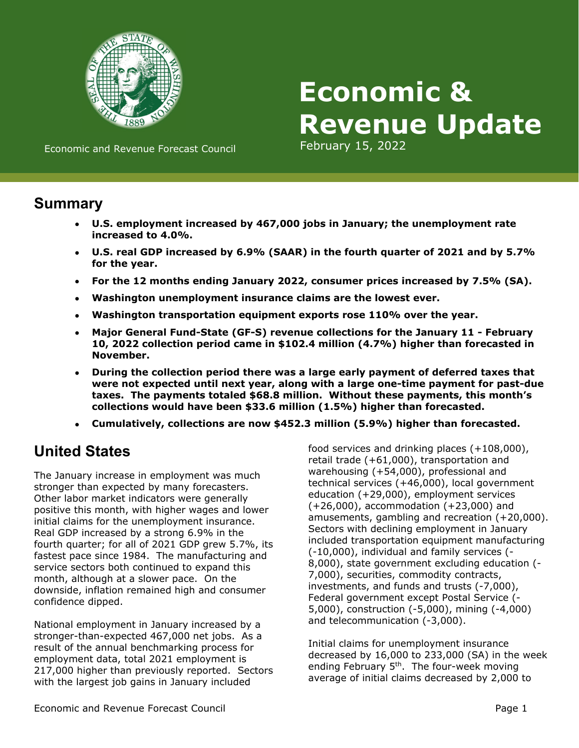

# **Economic & Revenue Update**

Economic and Revenue Forecast Council February 15, 2022

### **Summary**

- **U.S. employment increased by 467,000 jobs in January; the unemployment rate increased to 4.0%.**
- **U.S. real GDP increased by 6.9% (SAAR) in the fourth quarter of 2021 and by 5.7% for the year.**
- **For the 12 months ending January 2022, consumer prices increased by 7.5% (SA).**
- **Washington unemployment insurance claims are the lowest ever.**
- **Washington transportation equipment exports rose 110% over the year.**
- **Major General Fund-State (GF-S) revenue collections for the January 11 February 10, 2022 collection period came in \$102.4 million (4.7%) higher than forecasted in November.**
- **During the collection period there was a large early payment of deferred taxes that were not expected until next year, along with a large one-time payment for past-due taxes. The payments totaled \$68.8 million. Without these payments, this month's collections would have been \$33.6 million (1.5%) higher than forecasted.**
- **Cumulatively, collections are now \$452.3 million (5.9%) higher than forecasted.**

## **United States**

The January increase in employment was much stronger than expected by many forecasters. Other labor market indicators were generally positive this month, with higher wages and lower initial claims for the unemployment insurance. Real GDP increased by a strong 6.9% in the fourth quarter; for all of 2021 GDP grew 5.7%, its fastest pace since 1984. The manufacturing and service sectors both continued to expand this month, although at a slower pace. On the downside, inflation remained high and consumer confidence dipped.

National employment in January increased by a stronger-than-expected 467,000 net jobs. As a result of the annual benchmarking process for employment data, total 2021 employment is 217,000 higher than previously reported. Sectors with the largest job gains in January included

food services and drinking places (+108,000), retail trade (+61,000), transportation and warehousing (+54,000), professional and technical services (+46,000), local government education (+29,000), employment services (+26,000), accommodation (+23,000) and amusements, gambling and recreation (+20,000). Sectors with declining employment in January included transportation equipment manufacturing (-10,000), individual and family services (- 8,000), state government excluding education (- 7,000), securities, commodity contracts, investments, and funds and trusts (-7,000), Federal government except Postal Service (- 5,000), construction (-5,000), mining (-4,000) and telecommunication (-3,000).

Initial claims for unemployment insurance decreased by 16,000 to 233,000 (SA) in the week ending February  $5<sup>th</sup>$ . The four-week moving average of initial claims decreased by 2,000 to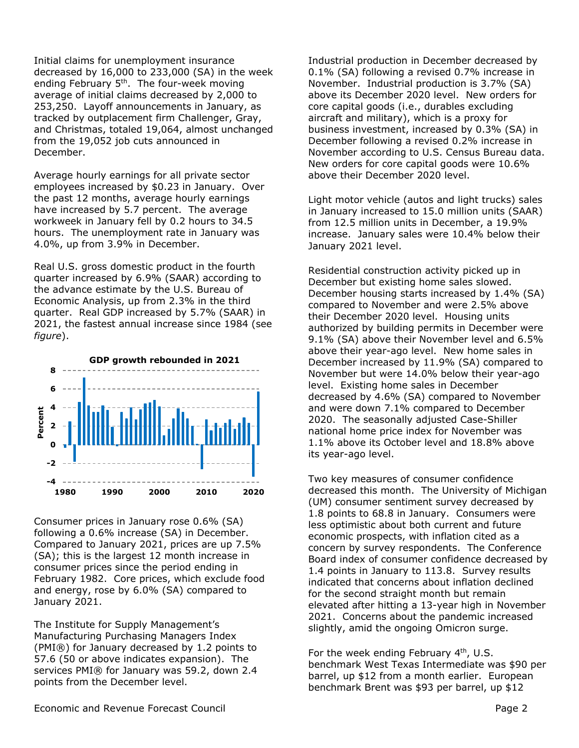Initial claims for unemployment insurance decreased by 16,000 to 233,000 (SA) in the week ending February 5th. The four-week moving average of initial claims decreased by 2,000 to 253,250. Layoff announcements in January, as tracked by outplacement firm Challenger, Gray, and Christmas, totaled 19,064, almost unchanged from the 19,052 job cuts announced in December.

Average hourly earnings for all private sector employees increased by \$0.23 in January. Over the past 12 months, average hourly earnings have increased by 5.7 percent. The average workweek in January fell by 0.2 hours to 34.5 hours. The unemployment rate in January was 4.0%, up from 3.9% in December.

Real U.S. gross domestic product in the fourth quarter increased by 6.9% (SAAR) according to the advance estimate by the U.S. Bureau of Economic Analysis, up from 2.3% in the third quarter. Real GDP increased by 5.7% (SAAR) in 2021, the fastest annual increase since 1984 (see *figure*).



Consumer prices in January rose 0.6% (SA) following a 0.6% increase (SA) in December. Compared to January 2021, prices are up 7.5% (SA); this is the largest 12 month increase in consumer prices since the period ending in February 1982. Core prices, which exclude food and energy, rose by 6.0% (SA) compared to January 2021.

The Institute for Supply Management's Manufacturing Purchasing Managers Index (PMI®) for January decreased by 1.2 points to 57.6 (50 or above indicates expansion). The services PMI® for January was 59.2, down 2.4 points from the December level.

Industrial production in December decreased by 0.1% (SA) following a revised 0.7% increase in November. Industrial production is 3.7% (SA) above its December 2020 level. New orders for core capital goods (i.e., durables excluding aircraft and military), which is a proxy for business investment, increased by 0.3% (SA) in December following a revised 0.2% increase in November according to U.S. Census Bureau data. New orders for core capital goods were 10.6% above their December 2020 level.

Light motor vehicle (autos and light trucks) sales in January increased to 15.0 million units (SAAR) from 12.5 million units in December, a 19.9% increase. January sales were 10.4% below their January 2021 level.

Residential construction activity picked up in December but existing home sales slowed. December housing starts increased by 1.4% (SA) compared to November and were 2.5% above their December 2020 level. Housing units authorized by building permits in December were 9.1% (SA) above their November level and 6.5% above their year-ago level. New home sales in December increased by 11.9% (SA) compared to November but were 14.0% below their year-ago level. Existing home sales in December decreased by 4.6% (SA) compared to November and were down 7.1% compared to December 2020. The seasonally adjusted Case-Shiller national home price index for November was 1.1% above its October level and 18.8% above its year-ago level.

Two key measures of consumer confidence decreased this month. The University of Michigan (UM) consumer sentiment survey decreased by 1.8 points to 68.8 in January. Consumers were less optimistic about both current and future economic prospects, with inflation cited as a concern by survey respondents. The Conference Board index of consumer confidence decreased by 1.4 points in January to 113.8. Survey results indicated that concerns about inflation declined for the second straight month but remain elevated after hitting a 13-year high in November 2021. Concerns about the pandemic increased slightly, amid the ongoing Omicron surge.

For the week ending February  $4<sup>th</sup>$ , U.S. benchmark West Texas Intermediate was \$90 per barrel, up \$12 from a month earlier. European benchmark Brent was \$93 per barrel, up \$12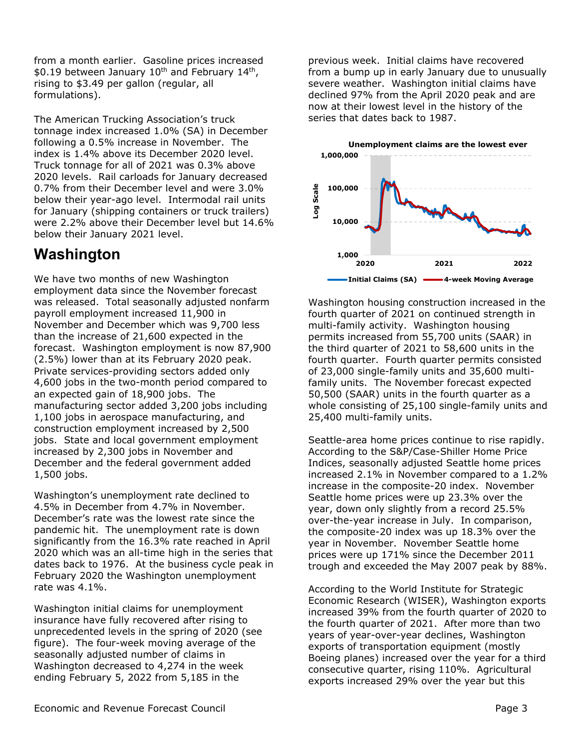from a month earlier. Gasoline prices increased \$0.19 between January  $10^{th}$  and February  $14^{th}$ , rising to \$3.49 per gallon (regular, all formulations).

The American Trucking Association's truck tonnage index increased 1.0% (SA) in December following a 0.5% increase in November. The index is 1.4% above its December 2020 level. Truck tonnage for all of 2021 was 0.3% above 2020 levels. Rail carloads for January decreased 0.7% from their December level and were 3.0% below their year-ago level. Intermodal rail units for January (shipping containers or truck trailers) were 2.2% above their December level but 14.6% below their January 2021 level.

## **Washington**

We have two months of new Washington employment data since the November forecast was released. Total seasonally adjusted nonfarm payroll employment increased 11,900 in November and December which was 9,700 less than the increase of 21,600 expected in the forecast. Washington employment is now 87,900 (2.5%) lower than at its February 2020 peak. Private services-providing sectors added only 4,600 jobs in the two-month period compared to an expected gain of 18,900 jobs. The manufacturing sector added 3,200 jobs including 1,100 jobs in aerospace manufacturing, and construction employment increased by 2,500 jobs. State and local government employment increased by 2,300 jobs in November and December and the federal government added 1,500 jobs.

Washington's unemployment rate declined to 4.5% in December from 4.7% in November. December's rate was the lowest rate since the pandemic hit. The unemployment rate is down significantly from the 16.3% rate reached in April 2020 which was an all-time high in the series that dates back to 1976. At the business cycle peak in February 2020 the Washington unemployment rate was 4.1%.

Washington initial claims for unemployment insurance have fully recovered after rising to unprecedented levels in the spring of 2020 (see figure). The four-week moving average of the seasonally adjusted number of claims in Washington decreased to 4,274 in the week ending February 5, 2022 from 5,185 in the

previous week. Initial claims have recovered from a bump up in early January due to unusually severe weather. Washington initial claims have declined 97% from the April 2020 peak and are now at their lowest level in the history of the series that dates back to 1987.



Washington housing construction increased in the fourth quarter of 2021 on continued strength in multi-family activity. Washington housing permits increased from 55,700 units (SAAR) in the third quarter of 2021 to 58,600 units in the fourth quarter. Fourth quarter permits consisted of 23,000 single-family units and 35,600 multifamily units. The November forecast expected 50,500 (SAAR) units in the fourth quarter as a whole consisting of 25,100 single-family units and 25,400 multi-family units.

Seattle-area home prices continue to rise rapidly. According to the S&P/Case-Shiller Home Price Indices, seasonally adjusted Seattle home prices increased 2.1% in November compared to a 1.2% increase in the composite-20 index. November Seattle home prices were up 23.3% over the year, down only slightly from a record 25.5% over-the-year increase in July. In comparison, the composite-20 index was up 18.3% over the year in November. November Seattle home prices were up 171% since the December 2011 trough and exceeded the May 2007 peak by 88%.

According to the World Institute for Strategic Economic Research (WISER), Washington exports increased 39% from the fourth quarter of 2020 to the fourth quarter of 2021. After more than two years of year-over-year declines, Washington exports of transportation equipment (mostly Boeing planes) increased over the year for a third consecutive quarter, rising 110%. Agricultural exports increased 29% over the year but this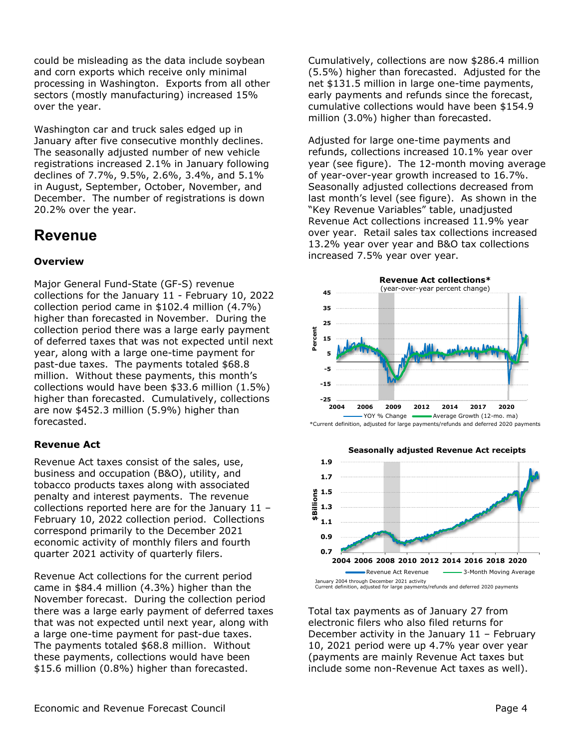could be misleading as the data include soybean and corn exports which receive only minimal processing in Washington. Exports from all other sectors (mostly manufacturing) increased 15% over the year.

Washington car and truck sales edged up in January after five consecutive monthly declines. The seasonally adjusted number of new vehicle registrations increased 2.1% in January following declines of 7.7%, 9.5%, 2.6%, 3.4%, and 5.1% in August, September, October, November, and December. The number of registrations is down 20.2% over the year.

## **Revenue**

#### **Overview**

Major General Fund-State (GF-S) revenue collections for the January 11 - February 10, 2022 collection period came in \$102.4 million (4.7%) higher than forecasted in November. During the collection period there was a large early payment of deferred taxes that was not expected until next year, along with a large one-time payment for past-due taxes. The payments totaled \$68.8 million. Without these payments, this month's collections would have been \$33.6 million (1.5%) higher than forecasted. Cumulatively, collections are now \$452.3 million (5.9%) higher than forecasted.

#### **Revenue Act**

Revenue Act taxes consist of the sales, use, business and occupation (B&O), utility, and tobacco products taxes along with associated penalty and interest payments. The revenue collections reported here are for the January 11 – February 10, 2022 collection period. Collections correspond primarily to the December 2021 economic activity of monthly filers and fourth quarter 2021 activity of quarterly filers.

Revenue Act collections for the current period came in \$84.4 million (4.3%) higher than the November forecast. During the collection period there was a large early payment of deferred taxes that was not expected until next year, along with a large one-time payment for past-due taxes. The payments totaled \$68.8 million. Without these payments, collections would have been \$15.6 million (0.8%) higher than forecasted.

Cumulatively, collections are now \$286.4 million (5.5%) higher than forecasted. Adjusted for the net \$131.5 million in large one-time payments, early payments and refunds since the forecast, cumulative collections would have been \$154.9 million (3.0%) higher than forecasted.

Adjusted for large one-time payments and refunds, collections increased 10.1% year over year (see figure). The 12-month moving average of year-over-year growth increased to 16.7%. Seasonally adjusted collections decreased from last month's level (see figure). As shown in the "Key Revenue Variables" table, unadjusted Revenue Act collections increased 11.9% year over year. Retail sales tax collections increased 13.2% year over year and B&O tax collections increased 7.5% year over year.





Total tax payments as of January 27 from electronic filers who also filed returns for December activity in the January 11 – February 10, 2021 period were up 4.7% year over year (payments are mainly Revenue Act taxes but include some non-Revenue Act taxes as well).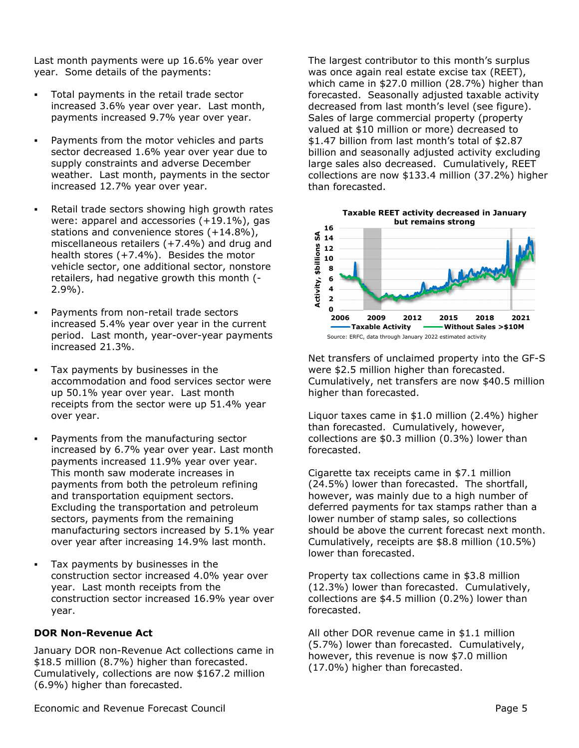Last month payments were up 16.6% year over year. Some details of the payments:

- Total payments in the retail trade sector increased 3.6% year over year. Last month, payments increased 9.7% year over year.
- Payments from the motor vehicles and parts sector decreased 1.6% year over year due to supply constraints and adverse December weather. Last month, payments in the sector increased 12.7% year over year.
- Retail trade sectors showing high growth rates were: apparel and accessories (+19.1%), gas stations and convenience stores (+14.8%), miscellaneous retailers (+7.4%) and drug and health stores (+7.4%). Besides the motor vehicle sector, one additional sector, nonstore retailers, had negative growth this month (- 2.9%).
- Payments from non-retail trade sectors increased 5.4% year over year in the current period. Last month, year-over-year payments increased 21.3%.
- Tax payments by businesses in the accommodation and food services sector were up 50.1% year over year. Last month receipts from the sector were up 51.4% year over year.
- Payments from the manufacturing sector increased by 6.7% year over year. Last month payments increased 11.9% year over year. This month saw moderate increases in payments from both the petroleum refining and transportation equipment sectors. Excluding the transportation and petroleum sectors, payments from the remaining manufacturing sectors increased by 5.1% year over year after increasing 14.9% last month.
- Tax payments by businesses in the construction sector increased 4.0% year over year. Last month receipts from the construction sector increased 16.9% year over year.

#### **DOR Non-Revenue Act**

January DOR non-Revenue Act collections came in \$18.5 million (8.7%) higher than forecasted. Cumulatively, collections are now \$167.2 million (6.9%) higher than forecasted.

The largest contributor to this month's surplus was once again real estate excise tax (REET), which came in \$27.0 million (28.7%) higher than forecasted. Seasonally adjusted taxable activity decreased from last month's level (see figure). Sales of large commercial property (property valued at \$10 million or more) decreased to \$1.47 billion from last month's total of \$2.87 billion and seasonally adjusted activity excluding large sales also decreased. Cumulatively, REET collections are now \$133.4 million (37.2%) higher than forecasted.



Net transfers of unclaimed property into the GF-S were \$2.5 million higher than forecasted. Cumulatively, net transfers are now \$40.5 million higher than forecasted.

Liquor taxes came in \$1.0 million (2.4%) higher than forecasted. Cumulatively, however, collections are \$0.3 million (0.3%) lower than forecasted.

Cigarette tax receipts came in \$7.1 million (24.5%) lower than forecasted. The shortfall, however, was mainly due to a high number of deferred payments for tax stamps rather than a lower number of stamp sales, so collections should be above the current forecast next month. Cumulatively, receipts are \$8.8 million (10.5%) lower than forecasted.

Property tax collections came in \$3.8 million (12.3%) lower than forecasted. Cumulatively, collections are \$4.5 million (0.2%) lower than forecasted.

All other DOR revenue came in \$1.1 million (5.7%) lower than forecasted. Cumulatively, however, this revenue is now \$7.0 million (17.0%) higher than forecasted.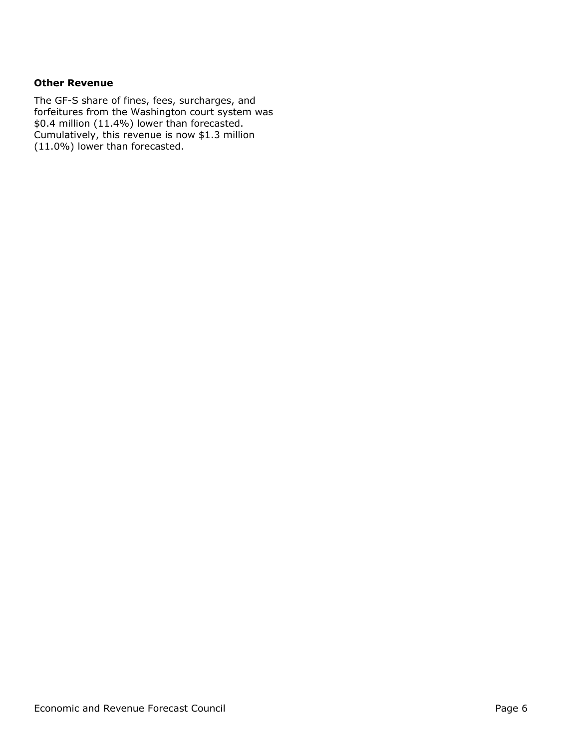#### **Other Revenue**

The GF-S share of fines, fees, surcharges, and forfeitures from the Washington court system was \$0.4 million (11.4%) lower than forecasted. Cumulatively, this revenue is now \$1.3 million (11.0%) lower than forecasted.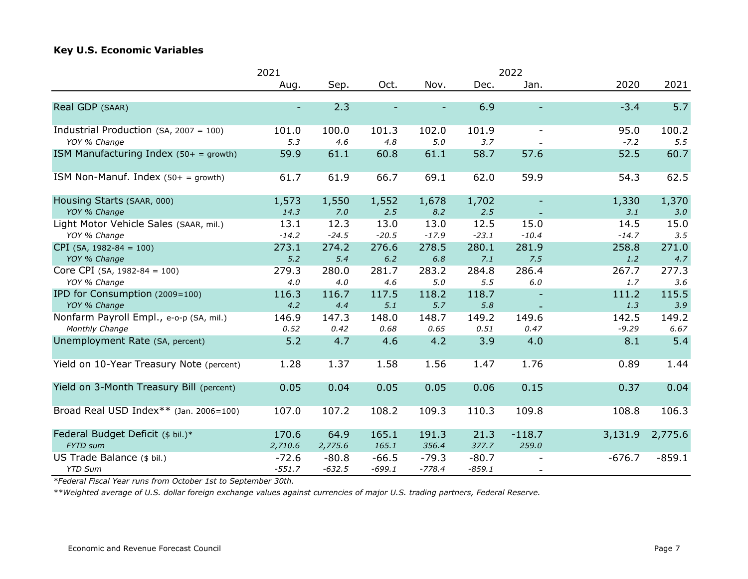#### **Key U.S. Economic Variables**

|                                           | 2022<br>2021 |          |          |          |          |                          |          |          |
|-------------------------------------------|--------------|----------|----------|----------|----------|--------------------------|----------|----------|
|                                           | Aug.         | Sep.     | Oct.     | Nov.     | Dec.     | Jan.                     | 2020     | 2021     |
|                                           |              |          |          |          |          |                          |          |          |
| Real GDP (SAAR)                           |              | 2.3      |          |          | 6.9      |                          | $-3.4$   | 5.7      |
| Industrial Production (SA, 2007 = 100)    | 101.0        | 100.0    | 101.3    | 102.0    | 101.9    | $\overline{\phantom{a}}$ | 95.0     | 100.2    |
| YOY % Change                              | 5.3          | 4.6      | 4.8      | 5.0      | 3.7      |                          | $-7.2$   | 5.5      |
| ISM Manufacturing Index $(50 + =$ growth) | 59.9         | 61.1     | 60.8     | 61.1     | 58.7     | 57.6                     | 52.5     | 60.7     |
| ISM Non-Manuf. Index $(50 + =$ growth)    | 61.7         | 61.9     | 66.7     | 69.1     | 62.0     | 59.9                     | 54.3     | 62.5     |
| Housing Starts (SAAR, 000)                | 1,573        | 1,550    | 1,552    | 1,678    | 1,702    |                          | 1,330    | 1,370    |
| YOY % Change                              | 14.3         | 7.0      | 2.5      | 8.2      | 2.5      |                          | 3.1      | 3.0      |
| Light Motor Vehicle Sales (SAAR, mil.)    | 13.1         | 12.3     | 13.0     | 13.0     | 12.5     | 15.0                     | 14.5     | 15.0     |
| YOY % Change                              | $-14.2$      | $-24.5$  | $-20.5$  | $-17.9$  | $-23.1$  | $-10.4$                  | $-14.7$  | 3.5      |
| $CPI$ (SA, 1982-84 = 100)                 | 273.1        | 274.2    | 276.6    | 278.5    | 280.1    | 281.9                    | 258.8    | 271.0    |
| YOY % Change                              | 5.2          | 5.4      | 6.2      | $6.8$    | 7.1      | 7.5                      | 1.2      | 4.7      |
| Core CPI (SA, $1982-84 = 100$ )           | 279.3        | 280.0    | 281.7    | 283.2    | 284.8    | 286.4                    | 267.7    | 277.3    |
| YOY % Change                              | 4.0          | 4.0      | 4.6      | 5.0      | 5.5      | 6.0                      | 1.7      | 3.6      |
| IPD for Consumption (2009=100)            | 116.3        | 116.7    | 117.5    | 118.2    | 118.7    |                          | 111.2    | 115.5    |
| YOY % Change                              | 4.2          | 4.4      | 5.1      | 5.7      | 5.8      | $\overline{\phantom{a}}$ | 1.3      | 3.9      |
| Nonfarm Payroll Empl., e-o-p (SA, mil.)   | 146.9        | 147.3    | 148.0    | 148.7    | 149.2    | 149.6                    | 142.5    | 149.2    |
| Monthly Change                            | 0.52         | 0.42     | 0.68     | 0.65     | 0.51     | 0.47                     | $-9.29$  | 6.67     |
| Unemployment Rate (SA, percent)           | 5.2          | 4.7      | 4.6      | 4.2      | 3.9      | 4.0                      | 8.1      | 5.4      |
| Yield on 10-Year Treasury Note (percent)  | 1.28         | 1.37     | 1.58     | 1.56     | 1.47     | 1.76                     | 0.89     | 1.44     |
| Yield on 3-Month Treasury Bill (percent)  | 0.05         | 0.04     | 0.05     | 0.05     | 0.06     | 0.15                     | 0.37     | 0.04     |
| Broad Real USD Index** (Jan. 2006=100)    | 107.0        | 107.2    | 108.2    | 109.3    | 110.3    | 109.8                    | 108.8    | 106.3    |
| Federal Budget Deficit (\$ bil.)*         | 170.6        | 64.9     | 165.1    | 191.3    | 21.3     | $-118.7$                 | 3,131.9  | 2,775.6  |
| <b>FYTD</b> sum                           | 2,710.6      | 2,775.6  | 165.1    | 356.4    | 377.7    | 259.0                    |          |          |
| US Trade Balance (\$ bil.)                | $-72.6$      | $-80.8$  | $-66.5$  | $-79.3$  | $-80.7$  |                          | $-676.7$ | $-859.1$ |
| <b>YTD Sum</b>                            | $-551.7$     | $-632.5$ | $-699.1$ | $-778.4$ | $-859.1$ | $\overline{\phantom{a}}$ |          |          |

*\*Federal Fiscal Year runs from October 1st to September 30th.*

*\*\*Weighted average of U.S. dollar foreign exchange values against currencies of major U.S. trading partners, Federal Reserve.*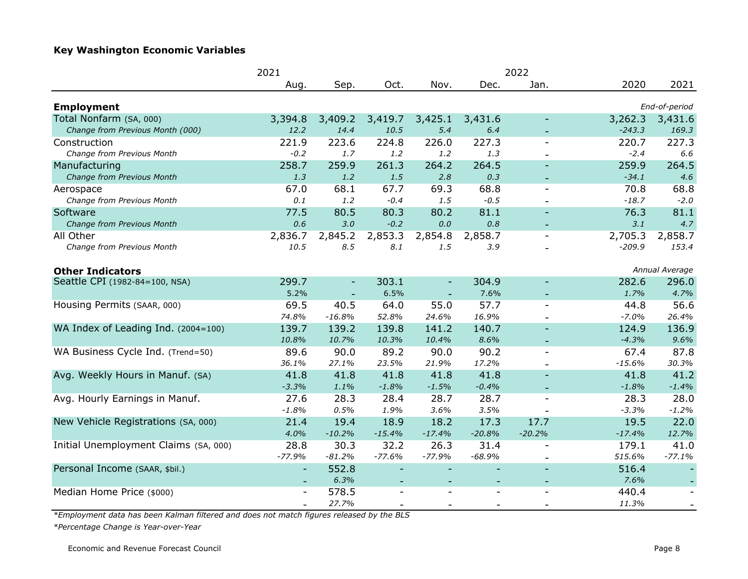#### **Key Washington Economic Variables**

|                                       | 2021<br>2022             |                          |                          |          |                          |                          |          |                          |
|---------------------------------------|--------------------------|--------------------------|--------------------------|----------|--------------------------|--------------------------|----------|--------------------------|
|                                       | Aug.                     | Sep.                     | Oct.                     | Nov.     | Dec.                     | Jan.                     | 2020     | 2021                     |
| <b>Employment</b>                     |                          |                          |                          |          |                          |                          |          | End-of-period            |
| Total Nonfarm (SA, 000)               | 3,394.8                  | 3,409.2                  | 3,419.7                  | 3,425.1  | 3,431.6                  |                          | 3,262.3  | 3,431.6                  |
| Change from Previous Month (000)      | 12.2                     | 14.4                     | 10.5                     | 5.4      | 6.4                      |                          | $-243.3$ | 169.3                    |
| Construction                          | 221.9                    | 223.6                    | 224.8                    | 226.0    | 227.3                    | $\overline{\phantom{a}}$ | 220.7    | 227.3                    |
| Change from Previous Month            | $-0.2$                   | 1.7                      | $1.2\,$                  | 1.2      | 1.3                      | $\overline{\phantom{a}}$ | $-2.4$   | 6.6                      |
| Manufacturing                         | 258.7                    | 259.9                    | 261.3                    | 264.2    | 264.5                    | $\overline{\phantom{a}}$ | 259.9    | 264.5                    |
| Change from Previous Month            | 1.3                      | 1.2                      | 1.5                      | 2.8      | 0.3                      |                          | $-34.1$  | 4.6                      |
| Aerospace                             | 67.0                     | 68.1                     | 67.7                     | 69.3     | 68.8                     | $\blacksquare$           | 70.8     | 68.8                     |
| Change from Previous Month            | 0.1                      | 1.2                      | $-0.4$                   | 1.5      | $-0.5$                   | $\overline{\phantom{a}}$ | $-18.7$  | $-2.0$                   |
| Software                              | 77.5                     | 80.5                     | 80.3                     | 80.2     | 81.1                     | $\blacksquare$           | 76.3     | 81.1                     |
| Change from Previous Month            | 0.6                      | 3.0                      | $-0.2$                   | $0.0\,$  | 0.8                      |                          | 3.1      | 4.7                      |
| All Other                             | 2,836.7                  | 2,845.2                  | 2,853.3                  | 2,854.8  | 2,858.7                  | $\overline{\phantom{a}}$ | 2,705.3  | 2,858.7                  |
| Change from Previous Month            | 10.5                     | 8.5                      | 8.1                      | 1.5      | 3.9                      |                          | $-209.9$ | 153.4                    |
| <b>Other Indicators</b>               |                          |                          |                          |          |                          |                          |          | Annual Average           |
| Seattle CPI (1982-84=100, NSA)        | 299.7                    | $\overline{\phantom{a}}$ | 303.1                    |          | 304.9                    | $\overline{\phantom{0}}$ | 282.6    | 296.0                    |
|                                       | 5.2%                     |                          | 6.5%                     |          | 7.6%                     |                          | 1.7%     | 4.7%                     |
| Housing Permits (SAAR, 000)           | 69.5                     | 40.5                     | 64.0                     | 55.0     | 57.7                     | $\blacksquare$           | 44.8     | 56.6                     |
|                                       | 74.8%                    | $-16.8%$                 | 52.8%                    | 24.6%    | 16.9%                    |                          | $-7.0%$  | 26.4%                    |
| WA Index of Leading Ind. (2004=100)   | 139.7                    | 139.2                    | 139.8                    | 141.2    | 140.7                    |                          | 124.9    | 136.9                    |
|                                       | 10.8%                    | 10.7%                    | 10.3%                    | 10.4%    | 8.6%                     |                          | $-4.3%$  | 9.6%                     |
| WA Business Cycle Ind. (Trend=50)     | 89.6                     | 90.0                     | 89.2                     | 90.0     | 90.2                     | $\blacksquare$           | 67.4     | 87.8                     |
|                                       | 36.1%                    | 27.1%                    | 23.5%                    | 21.9%    | 17.2%                    |                          | $-15.6%$ | 30.3%                    |
| Avg. Weekly Hours in Manuf. (SA)      | 41.8                     | 41.8                     | 41.8                     | 41.8     | 41.8                     |                          | 41.8     | 41.2                     |
|                                       | $-3.3%$                  | 1.1%                     | $-1.8%$                  | $-1.5%$  | $-0.4%$                  |                          | $-1.8%$  | $-1.4%$                  |
| Avg. Hourly Earnings in Manuf.        | 27.6                     | 28.3                     | 28.4                     | 28.7     | 28.7                     | $\overline{\phantom{a}}$ | 28.3     | 28.0                     |
|                                       | $-1.8%$                  | 0.5%                     | 1.9%                     | 3.6%     | 3.5%                     |                          | $-3.3%$  | $-1.2%$                  |
| New Vehicle Registrations (SA, 000)   | 21.4                     | 19.4                     | 18.9                     | 18.2     | 17.3                     | 17.7                     | 19.5     | 22.0                     |
|                                       | 4.0%                     | $-10.2%$                 | $-15.4%$                 | $-17.4%$ | $-20.8%$                 | $-20.2%$                 | $-17.4%$ | 12.7%                    |
| Initial Unemployment Claims (SA, 000) | 28.8                     | 30.3                     | 32.2                     | 26.3     | 31.4                     | $\overline{\phantom{a}}$ | 179.1    | 41.0                     |
|                                       | $-77.9%$                 | $-81.2%$                 | $-77.6%$                 | $-77.9%$ | $-68.9%$                 | $\bar{\phantom{a}}$      | 515.6%   | $-77.1%$                 |
| Personal Income (SAAR, \$bil.)        | $\overline{\phantom{a}}$ | 552.8                    |                          |          |                          | $\overline{\phantom{a}}$ | 516.4    |                          |
|                                       |                          | 6.3%                     | $\overline{\phantom{a}}$ |          | $\overline{\phantom{0}}$ | $\overline{\phantom{a}}$ | 7.6%     |                          |
| Median Home Price (\$000)             | $\overline{\phantom{a}}$ | 578.5                    | $\blacksquare$           |          |                          | $\overline{\phantom{a}}$ | 440.4    | $\overline{\phantom{a}}$ |
|                                       |                          | 27.7%                    |                          |          |                          |                          | 11.3%    | $\overline{\phantom{a}}$ |

*\*Employment data has been Kalman filtered and does not match figures released by the BLS*

*\*Percentage Change is Year-over-Year*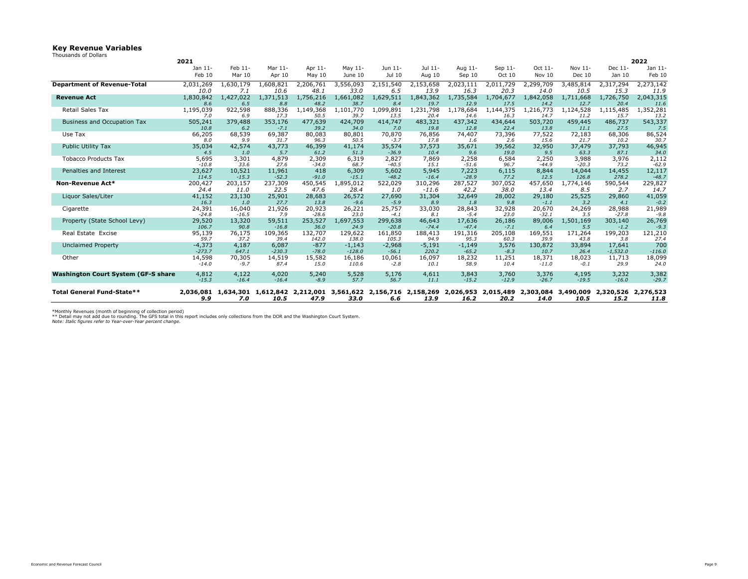# **Key Revenue Variables**

Thousands of Dollars

|                                            | 2021             |               |               |                  |               |                  |               |                                                                                                                                   |               |                  |                  |               | 2022             |
|--------------------------------------------|------------------|---------------|---------------|------------------|---------------|------------------|---------------|-----------------------------------------------------------------------------------------------------------------------------------|---------------|------------------|------------------|---------------|------------------|
|                                            | Jan 11-          | Feb 11-       | Mar 11-       | Apr 11-          | May $11-$     | Jun 11-          | Jul 11-       | Aug 11-                                                                                                                           | Sep 11-       | Oct 11-          | Nov 11-          | Dec 11-       | Jan 11-          |
|                                            | Feb 10           | <b>Mar 10</b> | Apr 10        | May $10$         | June 10       | Jul 10           | Aug 10        | Sep 10                                                                                                                            | Oct 10        | Nov 10           | Dec 10           | Jan 10        | Feb 10           |
| <b>Department of Revenue-Total</b>         | 2,031,269        | .,630,179     | 1,608,821     | 2,206,761        | 3,556,093     | 2,151,540        | 2,153,658     | 2,023,111                                                                                                                         | 2,011,729     | 2,299,709        | 3,485,814        | 2,317,294     | 2,273,142        |
|                                            | 10.0             | 7.1           | 10.6          | 48.1             | 33.0          | 6.5              | 13.9          | 16.3                                                                                                                              | 20.3          | 14.0             | 10.5             | 15.3          | 11.9             |
| <b>Revenue Act</b>                         | 1,830,842        | 1,427,022     | 1,371,513     | 1,756,216        | 1,661,082     | 1,629,511        | 1,843,362     | 1,735,584                                                                                                                         | 1,704,677     | 1,842,058        | 1,711,668        | 1,726,750     | 2,043,315        |
|                                            | 8.6              | 6.5           | 8.8           | 48.2             | 38.7          | 8.4              | 19.7          | 12.9                                                                                                                              | 17.5          | 14.2             | 12.7             | 20.4          | 11.6             |
| <b>Retail Sales Tax</b>                    | 1,195,039        | 922,598       | 888,336       | 1,149,368        | 1,101,770     | 1,099,891        | ,231,798      | 1,178,684                                                                                                                         | 1,144,375     | ,216,773         | 1,124,528        | 1,115,485     | ,352,281         |
|                                            | 7.0              | 6.9           | 17.3          | 50.5             | 39.7          | 13.5             | 20.4          | 14.6                                                                                                                              | 16.3          | 14.7             | 11.2             | 15.7          | 13.2             |
| <b>Business and Occupation Tax</b>         | 505,241          | 379,488       | 353,176       | 477,639          | 424,709       | 414,747          | 483,321       | 437,342                                                                                                                           | 434,644       | 503,720          | 459,445          | 486,737       | 543,337          |
|                                            | 10.8             | 6.2           | $-7.1$        | 39.2             | 34.0          | 7.0              | 19.8          | 12.8                                                                                                                              | 22.4          | 13.8             | 11.1             | 27.5          | 7.5              |
| Use Tax                                    | 66,205           | 68,539        | 69,387        | 80,083           | 80,801        | 70,870           | 76,856        | 74,407                                                                                                                            | 73,396        | 77,522           | 72,183           | 68,306        | 86,524           |
|                                            | 8.0              | 9.9           | 31.7          | 96.3             | 50.5          | $-3.7$           | 17.8          | 1.6                                                                                                                               | 2.6           | 15.6             | 21.7             | 10.2          | 30.7             |
| <b>Public Utility Tax</b>                  | 35,034           | 42,574        | 43,773        | 46,399           | 41,174        | 35,574           | 37,573        | 35,671                                                                                                                            | 39,562        | 32,950           | 37,479           | 37,793        | 46,945           |
|                                            | 4.5              | 1.0           | 5.7           | 61.2             | 51.3          | $-36.9$          | 10.4          | 9.6                                                                                                                               | 19.0          | 9.5              | 63.3             | 87.1          | 34.0             |
| <b>Tobacco Products Tax</b>                | 5,695<br>$-10.8$ | 3,301<br>33.6 | 4,879<br>27.6 | 2,309<br>$-34.0$ | 6,319<br>68.7 | 2,827<br>$-40.5$ | 7,869<br>15.1 | 2,258                                                                                                                             | 6,584<br>96.7 | 2,250<br>$-44.9$ | 3,988<br>$-20.3$ | 3,976<br>73.2 | 2,112<br>$-62.9$ |
| Penalties and Interest                     | 23,627           | 10,521        | 11,961        | 418              | 6,309         | 5,602            | 5,945         | $-51.6$<br>7,223                                                                                                                  | 6,115         | 8,844            | 14,044           | 14,455        | 12,117           |
|                                            | 114.5            | $-15.3$       | $-52.3$       | $-91.0$          | $-15.1$       | $-48.2$          | $-16.4$       | $-28.9$                                                                                                                           | 77.2          | 12.5             | 126.8            | 278.2         | $-48.7$          |
| <b>Non-Revenue Act*</b>                    | 200,427          | 203,157       | 237,309       | 450,545          | 1,895,012     | 522,029          | 310,296       | 287,527                                                                                                                           | 307,052       | 457,650          | 1,774,146        | 590,544       | 229,827          |
|                                            | 24.4             | 11.0          | 22.5          | 47.6             | 28.4          | 1.0              | $-11.6$       | 42.2                                                                                                                              | 38.0          | 13.4             | 8.5              | 2.7           | 14.7             |
| Liquor Sales/Liter                         | 41,152           | 23,130        | 25,901        | 28,683           | 26,572        | 27,690           | 31,304        | 32,649                                                                                                                            | 28,002        | 29,180           | 25,525           | 29,860        | 41,059           |
|                                            | 16.3             | 1.0           | 27.7          | 13.8             | $-9.6$        | $-5.9$           | 8.9           | 1.8                                                                                                                               | 9.8           | $-1.1$           | 3.2              | 4.1           | $-0.2$           |
| Cigarette                                  | 24,391           | 16,040        | 21,926        | 20,923           | 26,221        | 25,757           | 33,030        | 28,843                                                                                                                            | 32,928        | 20,670           | 24,269           | 28,988        | 21,989           |
|                                            | $-24.8$          | $-16.5$       | 7.9           | $-28.6$          | 23.0          | $-4.1$           | 8.1           | $-5.4$                                                                                                                            | 23.0          | $-32.1$          | 3.5              | $-27.8$       | $-9.8$           |
| Property (State School Levy)               | 29,520           | 13,320        | 59,511        | 253,527          | 1,697,553     | 299,638          | 46,643        | 17,636                                                                                                                            | 26,186        | 89,006           | 1,501,169        | 303,140       | 26,769           |
|                                            | 106.7            | 90.8          | $-16.8$       | 36.0             | 24.9          | $-20.8$          | $-74.4$       | $-47.4$                                                                                                                           | $-7.1$        | 6.4              | 5.5              | $-1.2$        | $-9.3$           |
| Real Estate Excise                         | 95,139           | 76,175        | 109,365       | 132,707          | 129,622       | 161,850          | 188,413       | 191,316                                                                                                                           | 205,108       | 169,551          | 171,264          | 199,203       | 121,210          |
|                                            | 59.7             | 37.2          | 39.4          | 142.0            | 138.0         | 105.3            | 94.9          | 95.3                                                                                                                              | 60.3          | 39.9             | 43.8             | 3.8           | 27.4             |
| <b>Unclaimed Property</b>                  | $-4,373$         | 4,187         | 6,087         | $-877$           | $-1,143$      | -2,968           | $-5,191$      | $-1,149$                                                                                                                          | 3,576         | 130,872          | 33,894           | 17,641        | 700              |
|                                            | $-273.7$         | 647.1         | $-230.3$      | $-78.0$          | $-128.0$      | $-56.1$          | 220.2         | $-65.2$                                                                                                                           | $-8.3$        | 10.7             | 26.4             | $-1,532.0$    | $-116.0$         |
| Other                                      | 14,598           | 70,305        | 14,519        | 15,582           | 16,186        | 10,061           | 16,097        | 18,232                                                                                                                            | 11,251        | 18,371           | 18,023           | 11,713        | 18,099           |
|                                            | $-14.0$          | $-9.7$        | 87.4          | 15.0             | 110.6         | $-2.8$           | 10.1          | 58.9                                                                                                                              | 10.4          | $-11.0$          | $-0.1$           | 29.9          | 24.0             |
| <b>Washington Court System (GF-S share</b> | 4,812            | 4,122         | 4,020         | 5,240            | 5,528         | 5,176            | 4,611         | 3,843                                                                                                                             | 3,760         | 3,376            | 4,195            | 3,232         | 3,382            |
|                                            | $-15.3$          | $-16.4$       | $-16.4$       | $-8.9$           | 57.7          | 56.7             | 11.1          | $-15.2$                                                                                                                           | $-12.9$       | $-26.7$          | $-19.5$          | $-16.0$       | $-29.7$          |
|                                            |                  |               |               |                  |               |                  |               |                                                                                                                                   |               |                  |                  |               |                  |
| Total General Fund-State**                 |                  |               |               |                  |               |                  |               | 2,036,081 1,634,301 1,612,842 2,212,001 3,561,622 2,156,716 2,158,269 2,026,953 2,015,489 2,303,084 3,490,009 2,320,526 2,276,523 |               |                  |                  |               |                  |
|                                            | 9.9              | 7.O           | 10.5          | 47.9             | <b>33.0</b>   | 6.6              | 13.9          | 16.2                                                                                                                              | 20.2          | 14.0             | 10.5             | 15.2          | <u>11.8</u>      |

\*Monthly Revenues (month of beginning of collection period)

\*\* Detail may not add due to rounding. The GFS total in this report includes only collections from the DOR and the Washington Court System. *Note: Italic figures refer to Year-over-Year percent change.*